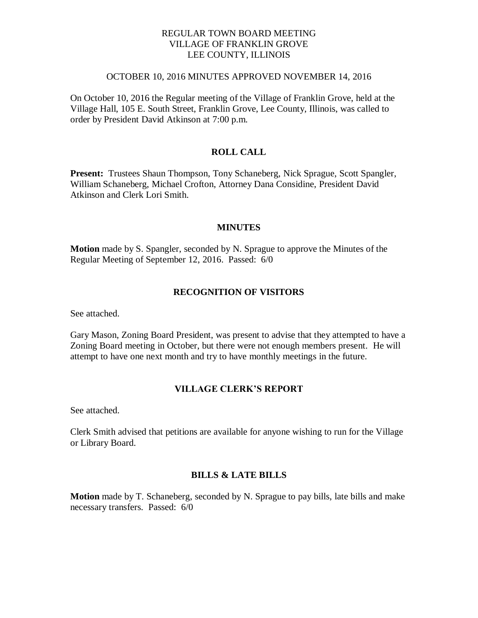## REGULAR TOWN BOARD MEETING VILLAGE OF FRANKLIN GROVE LEE COUNTY, ILLINOIS

#### OCTOBER 10, 2016 MINUTES APPROVED NOVEMBER 14, 2016

On October 10, 2016 the Regular meeting of the Village of Franklin Grove, held at the Village Hall, 105 E. South Street, Franklin Grove, Lee County, Illinois, was called to order by President David Atkinson at 7:00 p.m.

## **ROLL CALL**

**Present:** Trustees Shaun Thompson, Tony Schaneberg, Nick Sprague, Scott Spangler, William Schaneberg, Michael Crofton, Attorney Dana Considine, President David Atkinson and Clerk Lori Smith.

### **MINUTES**

**Motion** made by S. Spangler, seconded by N. Sprague to approve the Minutes of the Regular Meeting of September 12, 2016. Passed: 6/0

## **RECOGNITION OF VISITORS**

See attached.

Gary Mason, Zoning Board President, was present to advise that they attempted to have a Zoning Board meeting in October, but there were not enough members present. He will attempt to have one next month and try to have monthly meetings in the future.

### **VILLAGE CLERK'S REPORT**

See attached.

Clerk Smith advised that petitions are available for anyone wishing to run for the Village or Library Board.

#### **BILLS & LATE BILLS**

**Motion** made by T. Schaneberg, seconded by N. Sprague to pay bills, late bills and make necessary transfers. Passed: 6/0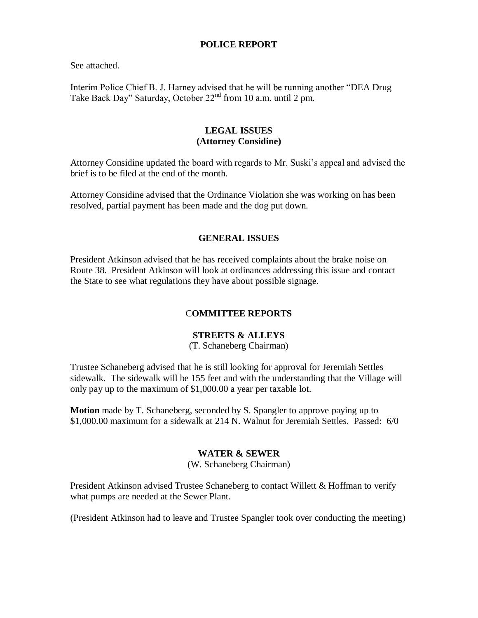## **POLICE REPORT**

See attached.

Interim Police Chief B. J. Harney advised that he will be running another "DEA Drug Take Back Day" Saturday, October 22<sup>nd</sup> from 10 a.m. until 2 pm.

## **LEGAL ISSUES (Attorney Considine)**

Attorney Considine updated the board with regards to Mr. Suski's appeal and advised the brief is to be filed at the end of the month.

Attorney Considine advised that the Ordinance Violation she was working on has been resolved, partial payment has been made and the dog put down.

## **GENERAL ISSUES**

President Atkinson advised that he has received complaints about the brake noise on Route 38. President Atkinson will look at ordinances addressing this issue and contact the State to see what regulations they have about possible signage.

# C**OMMITTEE REPORTS**

# **STREETS & ALLEYS**

(T. Schaneberg Chairman)

Trustee Schaneberg advised that he is still looking for approval for Jeremiah Settles sidewalk. The sidewalk will be 155 feet and with the understanding that the Village will only pay up to the maximum of \$1,000.00 a year per taxable lot.

**Motion** made by T. Schaneberg, seconded by S. Spangler to approve paying up to \$1,000.00 maximum for a sidewalk at 214 N. Walnut for Jeremiah Settles. Passed: 6/0

## **WATER & SEWER**

(W. Schaneberg Chairman)

President Atkinson advised Trustee Schaneberg to contact Willett & Hoffman to verify what pumps are needed at the Sewer Plant.

(President Atkinson had to leave and Trustee Spangler took over conducting the meeting)